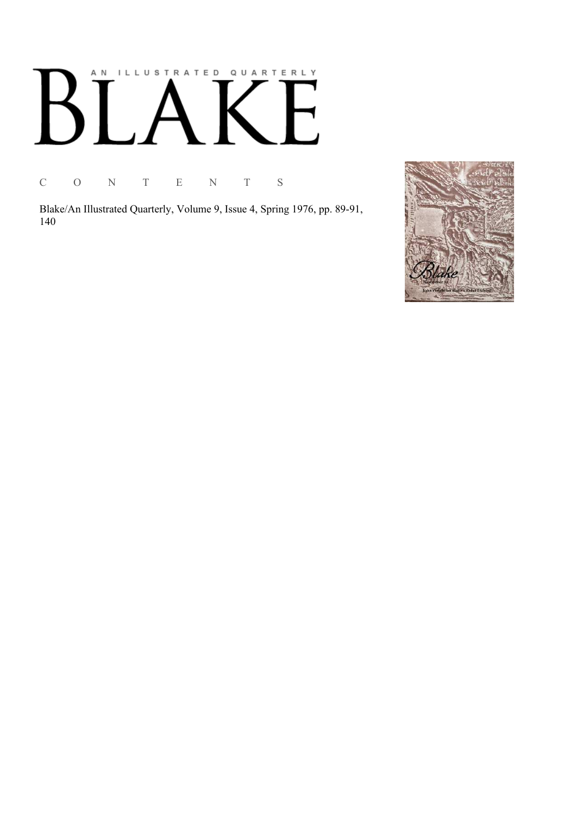## AN ILLUSTRATED QUARTERLY  $B^{\prime}$  $\Box$  $\overline{\phantom{a}}$

C O N T E N T S

Blake/An Illustrated Quarterly, Volume 9, Issue 4, Spring 1976, pp. 89-91, 140

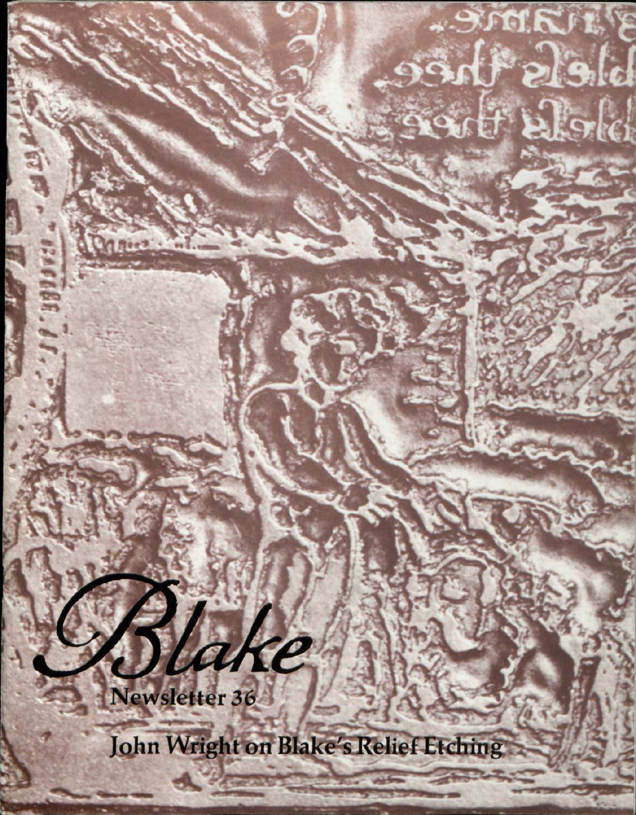Newsletter 36

lake

John Wright on Blake's Relief Etching

3 I LANC.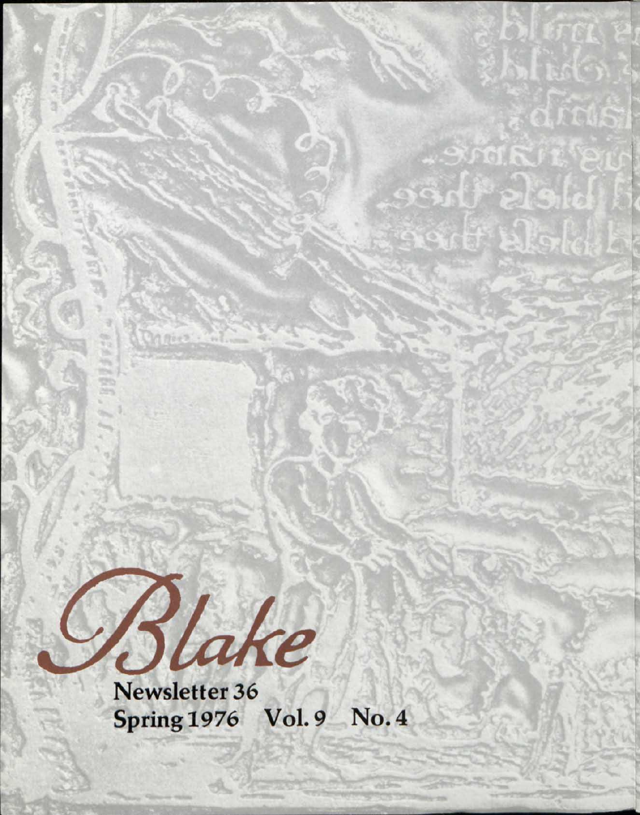

Maios:

Spring 1976 Vol.9 No. 4

-SMIRIL

 $991$  algle

Actif Block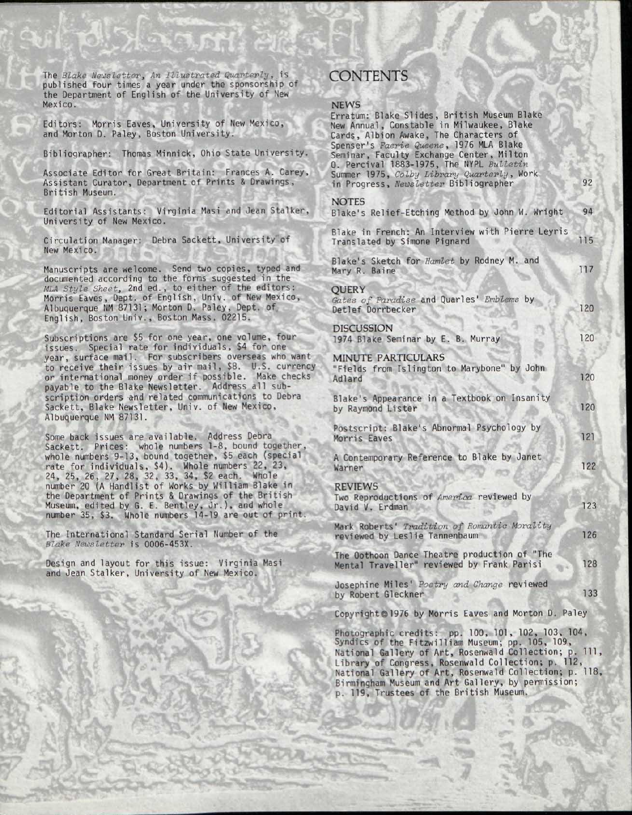The *Blake Newsletter*, An Illustrated Quarterly, is published four times a year under the sponsorship of the Department of English of the University of New Mexico.

Editors: Morris Eaves, University of New Mexico, and Morton D. Paley, Boston University.

Bibliographer: Thomas Minnick, Ohio State University.

Associate Editor for Great Britain: Frances A. Carey, Assistant Curator, Department of Prints & Drawings, British Museum.

Editorial Assistants: Virginia Masi and Jean Stalker, University of New Mexico.

Circulation Manager: Debra Sackett, University of New Mexico.

Manuscripts are welcome. Send two copies, typed and documented according to the forms suggested in the *MIA Style Sheet,* 2nd ed., to either of the editors: Morris Eaves, Dept. of English, Univ. of New Mexico, Albuquerque NM 87131; Morton D. Paley, Dept. of English, Boston Univ., Boston Mass. 02215.

Subscriptions are \$5 for one year, one volume, four issues. Special rate for individuals, \$4 for one year, surface mail. For subscribers overseas who want to receive their issues by air mail, \$8. U.S. currency or international money order if possible. Make checks payable to the Blake Newsletter. Address all subscription orders and related communications to Debra Sackett, Blake Newsletter, Univ. of New Mexico, Albuquerque NM 87131.

**Sales are available.** Address Debra Sackett. Prices: whole numbers 1-8, bound tog whole numbers 9-13, bound together, \$5 each (special rate for individuals, \$4). Whole numbers 22, 23, 24, 25, 26, 27, 28, 32, 33, 34, \$2 each. Whole number 20 (A Handlist of Works by William Blake in the Department of Prints & Drawings of the British Museum, edited by G. E. Bentley, Jr.), and whole number 35, \$3. Whole numbers 14-19 are out of pr

number 35, \$3. Whole numbers 14-19 are out of print.

The International Standard Serial Number of the *Blake Newsletter* is 0006-453X.

Design and layout for this issue: Virginia Masi and Jean Stalker, University of New Mexico.

*v^nam\** 

v v

Guy <sup>H</sup>ead Pro

 $\mathbb{R}^n$ 

## **CONTENTS**

## NEWS

| <b>INCYVO</b><br>Erratum: Blake Slides, British Museum Blake<br>New Annual, Constable in Milwaukee, Blake<br>Cards, Albion Awake, The Characters of<br>Spenser's Faerie Queene, 1976 MLA Blake<br>Seminar, Faculty Exchange Center, Milton<br>0. Percival 1883-1975, The NYPL Bulletin<br>Summer 1975, Colby Library Quarterly, Work |     |
|--------------------------------------------------------------------------------------------------------------------------------------------------------------------------------------------------------------------------------------------------------------------------------------------------------------------------------------|-----|
| in Progress, Newsletter Bibliographer                                                                                                                                                                                                                                                                                                | 92  |
| <b>NOTES</b><br>Blake's Relief-Etching Method by John W. Wright                                                                                                                                                                                                                                                                      | 94  |
| Blake in French: An Interview with Pierre Leyris<br>Translated by Simone Pignard                                                                                                                                                                                                                                                     | 115 |
| Blake's Sketch for Hamlet by Rodney M. and<br>Mary R. Baine                                                                                                                                                                                                                                                                          | 117 |
| QUERY<br>Gates of Paradise and Quarles' Emblems by<br>Detlef Dorrbecker                                                                                                                                                                                                                                                              | 120 |
| <b>DISCUSSION</b><br>1974 Blake Seminar by E. B. Murray                                                                                                                                                                                                                                                                              | 120 |
| <b>MINUTE PARTICULARS</b><br>"Fields from Islington to Marybone" by John<br>Adlard                                                                                                                                                                                                                                                   | 120 |
| Blake's Appearance in a Textbook on Insanity<br>by Raymond Lister                                                                                                                                                                                                                                                                    | 120 |
| Postscript: Blake's Abnormal Psychology by<br>Morris Eaves                                                                                                                                                                                                                                                                           | 121 |
| A Contemporary Reference to Blake by Janet<br>Warner                                                                                                                                                                                                                                                                                 | 122 |
| <b>REVIEWS</b><br>Two Reproductions of America reviewed by<br>David V. Erdman                                                                                                                                                                                                                                                        | 123 |
| Mark Roberts' Tradition of Romantic Morality<br>reviewed by Leslie Tannenbaum                                                                                                                                                                                                                                                        | 126 |
| The Oothoon Dance Theatre production of "The<br>Mental Traveller" reviewed by Frank Parisi                                                                                                                                                                                                                                           | 128 |
| Josephine Miles' Poetry and Change reviewed<br>by Robert Gleckner                                                                                                                                                                                                                                                                    | 133 |
| Copyright@1976 by Morris Eaves and Morton D. Paley                                                                                                                                                                                                                                                                                   |     |

Photographic credits: pp. 100, 101, 102, 103, 104, Syndics of the Fitzwilliam Museum; pp. 105, 109, National Gallery of Art, Rosenwald Collection; p. Ill, Library of Congress, Rosenwald Collection; p. 112, National Gallery of Art, Rosenwald Collection; p. 118, Birmingham Museum and Art Gallery, by permission; p. 119, Trustees of the British Museum.